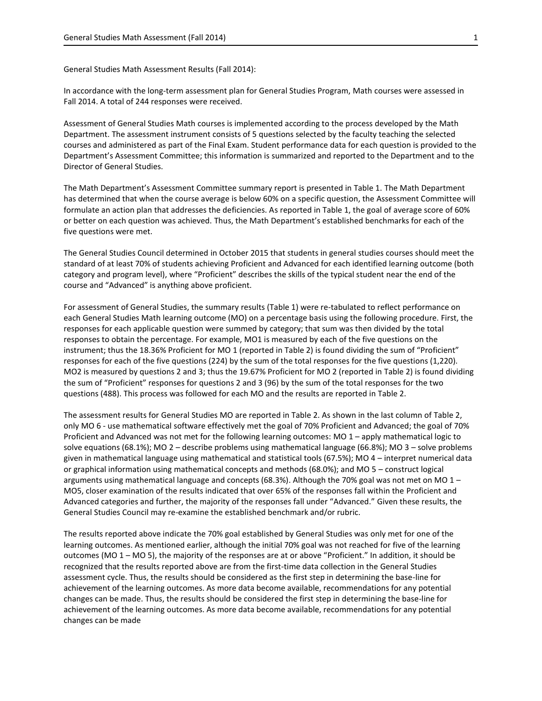General Studies Math Assessment Results (Fall 2014):

In accordance with the long-term assessment plan for General Studies Program, Math courses were assessed in Fall 2014. A total of 244 responses were received.

Assessment of General Studies Math courses is implemented according to the process developed by the Math Department. The assessment instrument consists of 5 questions selected by the faculty teaching the selected courses and administered as part of the Final Exam. Student performance data for each question is provided to the Department's Assessment Committee; this information is summarized and reported to the Department and to the Director of General Studies.

The Math Department's Assessment Committee summary report is presented in Table 1. The Math Department has determined that when the course average is below 60% on a specific question, the Assessment Committee will formulate an action plan that addresses the deficiencies. As reported in Table 1, the goal of average score of 60% or better on each question was achieved. Thus, the Math Department's established benchmarks for each of the five questions were met.

The General Studies Council determined in October 2015 that students in general studies courses should meet the standard of at least 70% of students achieving Proficient and Advanced for each identified learning outcome (both category and program level), where "Proficient" describes the skills of the typical student near the end of the course and "Advanced" is anything above proficient.

For assessment of General Studies, the summary results (Table 1) were re-tabulated to reflect performance on each General Studies Math learning outcome (MO) on a percentage basis using the following procedure. First, the responses for each applicable question were summed by category; that sum was then divided by the total responses to obtain the percentage. For example, MO1 is measured by each of the five questions on the instrument; thus the 18.36% Proficient for MO 1 (reported in Table 2) is found dividing the sum of "Proficient" responses for each of the five questions (224) by the sum of the total responses for the five questions (1,220). MO2 is measured by questions 2 and 3; thus the 19.67% Proficient for MO 2 (reported in Table 2) is found dividing the sum of "Proficient" responses for questions 2 and 3 (96) by the sum of the total responses for the two questions (488). This process was followed for each MO and the results are reported in Table 2.

The assessment results for General Studies MO are reported in Table 2. As shown in the last column of Table 2, only MO 6 - use mathematical software effectively met the goal of 70% Proficient and Advanced; the goal of 70% Proficient and Advanced was not met for the following learning outcomes: MO 1 – apply mathematical logic to solve equations (68.1%); MO 2 – describe problems using mathematical language (66.8%); MO 3 – solve problems given in mathematical language using mathematical and statistical tools (67.5%); MO 4 – interpret numerical data or graphical information using mathematical concepts and methods (68.0%); and MO 5 – construct logical arguments using mathematical language and concepts (68.3%). Although the 70% goal was not met on MO 1 -MO5, closer examination of the results indicated that over 65% of the responses fall within the Proficient and Advanced categories and further, the majority of the responses fall under "Advanced." Given these results, the General Studies Council may re-examine the established benchmark and/or rubric.

The results reported above indicate the 70% goal established by General Studies was only met for one of the learning outcomes. As mentioned earlier, although the initial 70% goal was not reached for five of the learning outcomes (MO 1 – MO 5), the majority of the responses are at or above "Proficient." In addition, it should be recognized that the results reported above are from the first-time data collection in the General Studies assessment cycle. Thus, the results should be considered as the first step in determining the base-line for achievement of the learning outcomes. As more data become available, recommendations for any potential changes can be made. Thus, the results should be considered the first step in determining the base-line for achievement of the learning outcomes. As more data become available, recommendations for any potential changes can be made